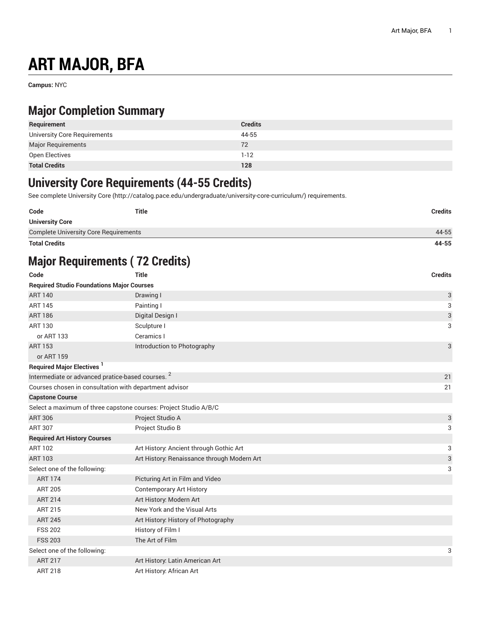## **ART MAJOR, BFA**

**Campus:** NYC

## **Major Completion Summary**

| Requirement                  | <b>Credits</b> |
|------------------------------|----------------|
| University Core Requirements | 44-55          |
| <b>Major Requirements</b>    | 72             |
| Open Electives               | $1 - 12$       |
| <b>Total Credits</b>         | 128            |

## **University Core Requirements (44-55 Credits)**

See complete [University](http://catalog.pace.edu/undergraduate/university-core-curriculum/) Core (<http://catalog.pace.edu/undergraduate/university-core-curriculum/>) requirements.

| Code                                         | <b>Title</b> | Credits |
|----------------------------------------------|--------------|---------|
| <b>University Core</b>                       |              |         |
| <b>Complete University Core Requirements</b> |              | 44-55   |
|                                              |              |         |

**Total Credits 44-55**

## **Major Requirements ( 72 Credits)**

| Code                                                         | <b>Title</b>                                                     | <b>Credits</b>            |
|--------------------------------------------------------------|------------------------------------------------------------------|---------------------------|
| <b>Required Studio Foundations Major Courses</b>             |                                                                  |                           |
| <b>ART 140</b>                                               | Drawing I                                                        | 3                         |
| <b>ART 145</b>                                               | Painting I                                                       | 3                         |
| <b>ART 186</b>                                               | Digital Design I                                                 | $\ensuremath{\mathsf{3}}$ |
| <b>ART 130</b>                                               | Sculpture I                                                      | 3                         |
| or ART 133                                                   | Ceramics I                                                       |                           |
| <b>ART 153</b>                                               | Introduction to Photography                                      | 3                         |
| or ART 159                                                   |                                                                  |                           |
| <b>Required Major Electives</b>                              |                                                                  |                           |
| Intermediate or advanced pratice-based courses. <sup>2</sup> |                                                                  | 21                        |
| Courses chosen in consultation with department advisor       |                                                                  | 21                        |
| <b>Capstone Course</b>                                       |                                                                  |                           |
|                                                              | Select a maximum of three capstone courses: Project Studio A/B/C |                           |
| <b>ART 306</b>                                               | Project Studio A                                                 | $\ensuremath{\mathsf{3}}$ |
| <b>ART 307</b>                                               | Project Studio B                                                 | 3                         |
| <b>Required Art History Courses</b>                          |                                                                  |                           |
| <b>ART 102</b>                                               | Art History: Ancient through Gothic Art                          | 3                         |
| <b>ART 103</b>                                               | Art History: Renaissance through Modern Art                      | $\ensuremath{\mathsf{3}}$ |
| Select one of the following:                                 |                                                                  | 3                         |
| <b>ART 174</b>                                               | Picturing Art in Film and Video                                  |                           |
| <b>ART 205</b>                                               | <b>Contemporary Art History</b>                                  |                           |
| <b>ART 214</b>                                               | Art History: Modern Art                                          |                           |
| ART 215                                                      | New York and the Visual Arts                                     |                           |
| <b>ART 245</b>                                               | Art History: History of Photography                              |                           |
| <b>FSS 202</b>                                               | History of Film I                                                |                           |
| <b>FSS 203</b>                                               | The Art of Film                                                  |                           |
| Select one of the following:                                 |                                                                  | 3                         |
| <b>ART 217</b>                                               | Art History: Latin American Art                                  |                           |
| <b>ART 218</b>                                               | Art History: African Art                                         |                           |